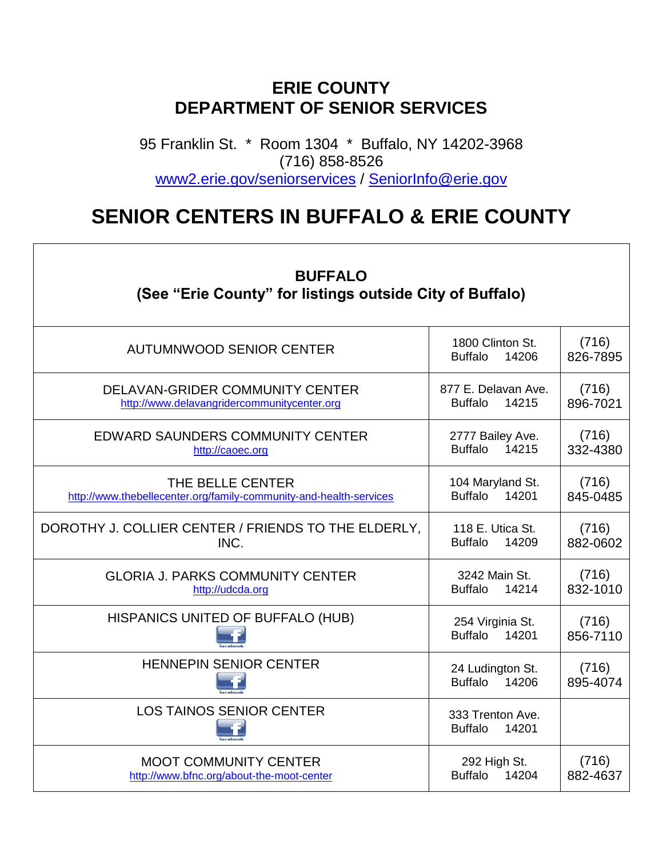## **ERIE COUNTY DEPARTMENT OF SENIOR SERVICES**

95 Franklin St. \* Room 1304 \* Buffalo, NY 14202-3968 (716) 858-8526 [www2.erie.gov/seniorservices](http://www.erie.gov/depts/seniorservices) / [SeniorInfo@erie.gov](mailto:SeniorInfo@erie.gov)

## **SENIOR CENTERS IN BUFFALO & ERIE COUNTY**

٦

Г

| <b>BUFFALO</b><br>(See "Erie County" for listings outside City of Buffalo)             |                                                |                   |  |
|----------------------------------------------------------------------------------------|------------------------------------------------|-------------------|--|
| AUTUMNWOOD SENIOR CENTER                                                               | 1800 Clinton St.<br><b>Buffalo</b><br>14206    | (716)<br>826-7895 |  |
| DELAVAN-GRIDER COMMUNITY CENTER<br>http://www.delavangridercommunitycenter.org         | 877 E. Delavan Ave.<br><b>Buffalo</b><br>14215 | (716)<br>896-7021 |  |
| <b>EDWARD SAUNDERS COMMUNITY CENTER</b><br>http://caoec.org                            | 2777 Bailey Ave.<br>Buffalo 14215              | (716)<br>332-4380 |  |
| THE BELLE CENTER<br>http://www.thebellecenter.org/family-community-and-health-services | 104 Maryland St.<br>Buffalo 14201              | (716)<br>845-0485 |  |
| DOROTHY J. COLLIER CENTER / FRIENDS TO THE ELDERLY,<br>INC.                            | 118 E. Utica St.<br><b>Buffalo</b><br>14209    | (716)<br>882-0602 |  |
| <b>GLORIA J. PARKS COMMUNITY CENTER</b><br>http://udcda.org                            | 3242 Main St.<br><b>Buffalo</b><br>14214       | (716)<br>832-1010 |  |
| HISPANICS UNITED OF BUFFALO (HUB)                                                      | 254 Virginia St.<br>Buffalo 14201              | (716)<br>856-7110 |  |
| <b>HENNEPIN SENIOR CENTER</b>                                                          | 24 Ludington St.<br>14206<br><b>Buffalo</b>    | (716)<br>895-4074 |  |
| <b>LOS TAINOS SENIOR CENTER</b>                                                        | 333 Trenton Ave.<br><b>Buffalo</b><br>14201    |                   |  |
| <b>MOOT COMMUNITY CENTER</b><br>http://www.bfnc.org/about-the-moot-center              | 292 High St.<br>Buffalo 14204                  | (716)<br>882-4637 |  |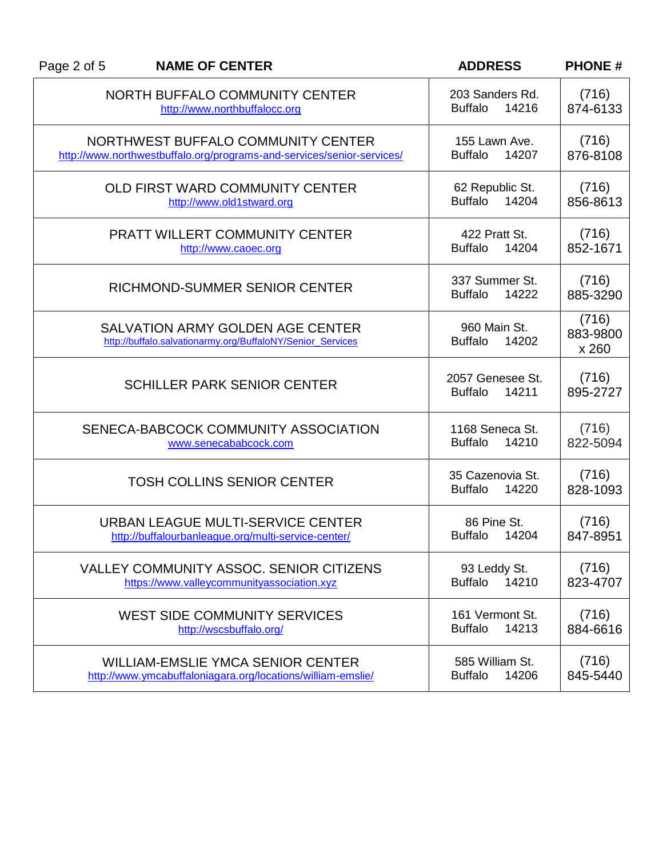| Page 2 of 5 | <b>NAME OF CENTER</b>                                                                                        | <b>ADDRESS</b>                              | <b>PHONE#</b>              |
|-------------|--------------------------------------------------------------------------------------------------------------|---------------------------------------------|----------------------------|
|             | NORTH BUFFALO COMMUNITY CENTER<br>http://www.northbuffalocc.org                                              | 203 Sanders Rd.<br><b>Buffalo</b><br>14216  | (716)<br>874-6133          |
|             | NORTHWEST BUFFALO COMMUNITY CENTER<br>http://www.northwestbuffalo.org/programs-and-services/senior-services/ | 155 Lawn Ave.<br>14207<br><b>Buffalo</b>    | (716)<br>876-8108          |
|             | OLD FIRST WARD COMMUNITY CENTER<br>http://www.old1stward.org                                                 | 62 Republic St.<br>14204<br><b>Buffalo</b>  | (716)<br>856-8613          |
|             | <b>PRATT WILLERT COMMUNITY CENTER</b><br>http://www.caoec.org                                                | 422 Pratt St.<br><b>Buffalo</b><br>14204    | (716)<br>852-1671          |
|             | RICHMOND-SUMMER SENIOR CENTER                                                                                | 337 Summer St.<br>14222<br><b>Buffalo</b>   | (716)<br>885-3290          |
|             | <b>SALVATION ARMY GOLDEN AGE CENTER</b><br>http://buffalo.salvationarmy.org/BuffaloNY/Senior_Services        | 960 Main St.<br><b>Buffalo</b><br>14202     | (716)<br>883-9800<br>x 260 |
|             | <b>SCHILLER PARK SENIOR CENTER</b>                                                                           | 2057 Genesee St.<br><b>Buffalo</b><br>14211 | (716)<br>895-2727          |
|             | SENECA-BABCOCK COMMUNITY ASSOCIATION<br>www.senecababcock.com                                                | 1168 Seneca St.<br><b>Buffalo</b><br>14210  | (716)<br>822-5094          |
|             | <b>TOSH COLLINS SENIOR CENTER</b>                                                                            | 35 Cazenovia St.<br><b>Buffalo</b><br>14220 | (716)<br>828-1093          |
|             | URBAN LEAGUE MULTI-SERVICE CENTER<br>http://buffalourbanleague.org/multi-service-center/                     | 86 Pine St.<br><b>Buffalo</b><br>14204      | (716)<br>847-8951          |
|             | VALLEY COMMUNITY ASSOC. SENIOR CITIZENS<br>https://www.valleycommunityassociation.xyz                        | 93 Leddy St.<br>14210<br><b>Buffalo</b>     | (716)<br>823-4707          |
|             | <b>WEST SIDE COMMUNITY SERVICES</b><br>http://wscsbuffalo.org/                                               | 161 Vermont St.<br><b>Buffalo</b><br>14213  | (716)<br>884-6616          |
|             | <b>WILLIAM-EMSLIE YMCA SENIOR CENTER</b><br>http://www.ymcabuffaloniagara.org/locations/william-emslie/      | 585 William St.<br><b>Buffalo</b><br>14206  | (716)<br>845-5440          |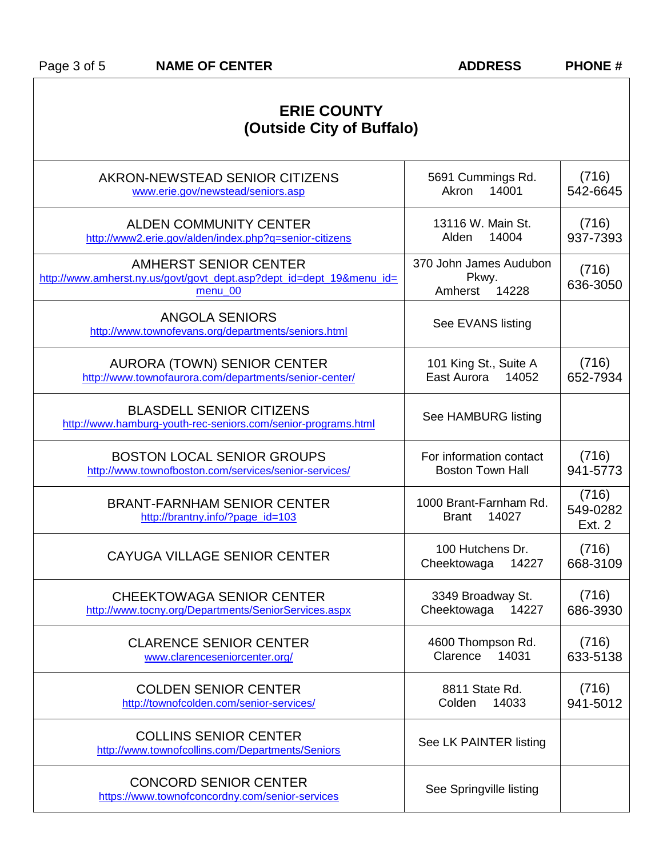| <b>ERIE COUNTY</b><br>(Outside City of Buffalo)                                                          |                                                     |                             |  |
|----------------------------------------------------------------------------------------------------------|-----------------------------------------------------|-----------------------------|--|
| AKRON-NEWSTEAD SENIOR CITIZENS<br>www.erie.gov/newstead/seniors.asp                                      | 5691 Cummings Rd.<br>Akron<br>14001                 | (716)<br>542-6645           |  |
| <b>ALDEN COMMUNITY CENTER</b><br>http://www2.erie.gov/alden/index.php?q=senior-citizens                  | 13116 W. Main St.<br>14004<br>Alden                 | (716)<br>937-7393           |  |
| AMHERST SENIOR CENTER<br>http://www.amherst.ny.us/govt/govt_dept.asp?dept_id=dept_19&menu_id=<br>menu_00 | 370 John James Audubon<br>Pkwy.<br>14228<br>Amherst | (716)<br>636-3050           |  |
| <b>ANGOLA SENIORS</b><br>http://www.townofevans.org/departments/seniors.html                             | See EVANS listing                                   |                             |  |
| <b>AURORA (TOWN) SENIOR CENTER</b><br>http://www.townofaurora.com/departments/senior-center/             | 101 King St., Suite A<br>East Aurora<br>14052       | (716)<br>652-7934           |  |
| <b>BLASDELL SENIOR CITIZENS</b><br>http://www.hamburg-youth-rec-seniors.com/senior-programs.html         | See HAMBURG listing                                 |                             |  |
| <b>BOSTON LOCAL SENIOR GROUPS</b><br>http://www.townofboston.com/services/senior-services/               | For information contact<br><b>Boston Town Hall</b>  | (716)<br>941-5773           |  |
| <b>BRANT-FARNHAM SENIOR CENTER</b><br>http://brantny.info/?page_id=103                                   | 1000 Brant-Farnham Rd.<br>14027<br><b>Brant</b>     | (716)<br>549-0282<br>Ext. 2 |  |
| CAYUGA VILLAGE SENIOR CENTER                                                                             | 100 Hutchens Dr.<br>Cheektowaga<br>14227            | (716)<br>668-3109           |  |
| <b>CHEEKTOWAGA SENIOR CENTER</b><br>http://www.tocny.org/Departments/SeniorServices.aspx                 | 3349 Broadway St.<br>Cheektowaga<br>14227           | (716)<br>686-3930           |  |
| <b>CLARENCE SENIOR CENTER</b><br>www.clarenceseniorcenter.org/                                           | 4600 Thompson Rd.<br>14031<br>Clarence              | (716)<br>633-5138           |  |
| <b>COLDEN SENIOR CENTER</b><br>http://townofcolden.com/senior-services/                                  | 8811 State Rd.<br>14033<br>Colden                   | (716)<br>941-5012           |  |
| <b>COLLINS SENIOR CENTER</b><br>http://www.townofcollins.com/Departments/Seniors                         | See LK PAINTER listing                              |                             |  |
| <b>CONCORD SENIOR CENTER</b><br>https://www.townofconcordny.com/senior-services                          | See Springville listing                             |                             |  |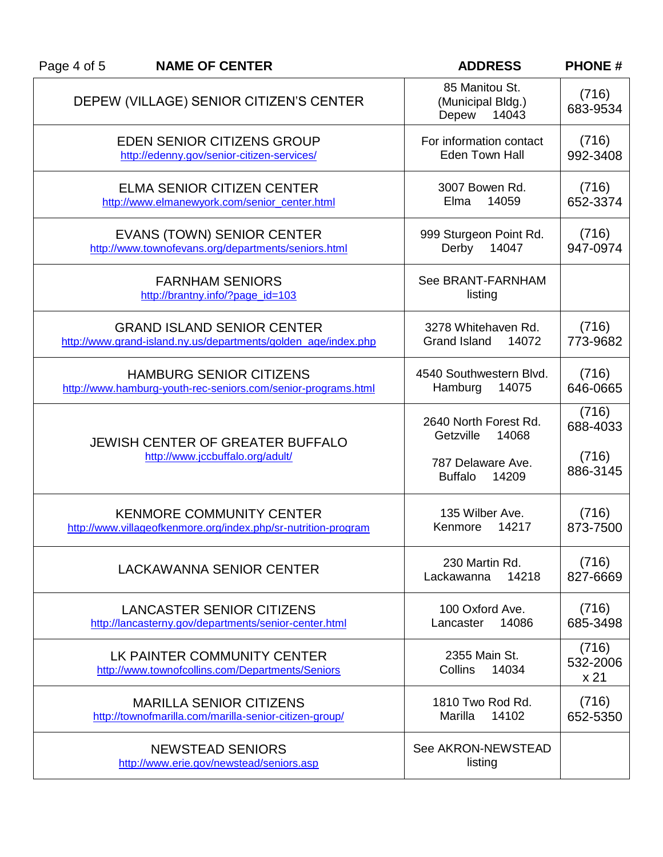| Page 4 of 5 | <b>NAME OF CENTER</b>                                                                               | <b>ADDRESS</b>                                                   | <b>PHONE#</b>              |
|-------------|-----------------------------------------------------------------------------------------------------|------------------------------------------------------------------|----------------------------|
|             | DEPEW (VILLAGE) SENIOR CITIZEN'S CENTER                                                             | 85 Manitou St.<br>(Municipal Bldg.)<br>Depew<br>14043            | (716)<br>683-9534          |
|             | <b>EDEN SENIOR CITIZENS GROUP</b><br>http://edenny.gov/senior-citizen-services/                     | For information contact<br><b>Eden Town Hall</b>                 | (716)<br>992-3408          |
|             | <b>ELMA SENIOR CITIZEN CENTER</b><br>http://www.elmanewyork.com/senior_center.html                  | 3007 Bowen Rd.<br>14059<br>Elma                                  | (716)<br>652-3374          |
|             | <b>EVANS (TOWN) SENIOR CENTER</b><br>http://www.townofevans.org/departments/seniors.html            | 999 Sturgeon Point Rd.<br>Derby<br>14047                         | (716)<br>947-0974          |
|             | <b>FARNHAM SENIORS</b><br>http://brantny.info/?page_id=103                                          | See BRANT-FARNHAM<br>listing                                     |                            |
|             | <b>GRAND ISLAND SENIOR CENTER</b><br>http://www.grand-island.ny.us/departments/golden_age/index.php | 3278 Whitehaven Rd.<br>Grand Island<br>14072                     | (716)<br>773-9682          |
|             | <b>HAMBURG SENIOR CITIZENS</b><br>http://www.hamburg-youth-rec-seniors.com/senior-programs.html     | 4540 Southwestern Blvd.<br>Hamburg<br>14075                      | (716)<br>646-0665          |
|             | <b>JEWISH CENTER OF GREATER BUFFALO</b><br>http://www.jccbuffalo.org/adult/                         | 2640 North Forest Rd.<br>Getzville<br>14068<br>787 Delaware Ave. | (716)<br>688-4033<br>(716) |
|             |                                                                                                     | <b>Buffalo</b><br>14209                                          | 886-3145                   |
|             | <b>KENMORE COMMUNITY CENTER</b><br>http://www.villageofkenmore.org/index.php/sr-nutrition-program   | 135 Wilber Ave.<br>Kenmore<br>14217                              | (716)<br>873-7500          |
|             | <b>LACKAWANNA SENIOR CENTER</b>                                                                     | 230 Martin Rd.<br>14218<br>Lackawanna                            | (716)<br>827-6669          |
|             | <b>LANCASTER SENIOR CITIZENS</b><br>http://lancasterny.gov/departments/senior-center.html           | 100 Oxford Ave.<br>Lancaster<br>14086                            | (716)<br>685-3498          |
|             | LK PAINTER COMMUNITY CENTER<br>http://www.townofcollins.com/Departments/Seniors                     | 2355 Main St.<br>Collins<br>14034                                | (716)<br>532-2006<br>x 21  |
|             | <b>MARILLA SENIOR CITIZENS</b><br>http://townofmarilla.com/marilla-senior-citizen-group/            | 1810 Two Rod Rd.<br>Marilla<br>14102                             | (716)<br>652-5350          |
|             | <b>NEWSTEAD SENIORS</b><br>http://www.erie.gov/newstead/seniors.asp                                 | See AKRON-NEWSTEAD<br>listing                                    |                            |